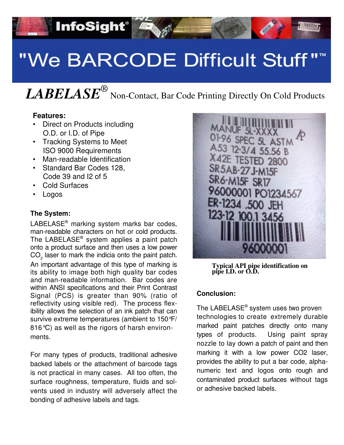# "We BARCODE Difficult Stuff""

# *LABELASE<sup>®</sup>* Non-Contact, Bar Code Printing Directly On Cold Products

### **Features:**

• Direct on Products including O.D. or I.D. of Pipe

**InfoSight®** 

- Tracking Systems to Meet ISO 9000 Requirements
- Man-readable Identification
- Standard Bar Codes 128, Code 39 and I2 of 5
- Cold Surfaces
- Logos

### **The System:**

LABELASE<sup>®</sup> marking system marks bar codes, man-readable characters on hot or cold products. The LABELASE® system applies a paint patch onto a product surface and then uses a low power  $CO<sub>2</sub>$  laser to mark the indicia onto the paint patch. An important advantage of this type of marking is its ability to image both high quality bar codes and man-readable information. Bar codes are within ANSI specifications and their Print Contrast Signal (PCS) is greater than 90% (ratio of reflectivity using visible red). The process flexibility allows the selection of an ink patch that can survive extreme temperatures (ambient to 150°F/ 816°C) as well as the rigors of harsh environments.

For many types of products, traditional adhesive backed labels or the attachment of barcode tags is not practical in many cases. All too often, the surface roughness, temperature, fluids and solvents used in industry will adversely affect the bonding of adhesive labels and tags.



**Typical API pipe identification on pipe I.D. or O.D.**

### **Conclusion:**

The LABELASE® system uses two proven technologies to create extremely durable marked paint patches directly onto many types of products. Using paint spray nozzle to lay down a patch of paint and then marking it with a low power CO2 laser, provides the ability to put a bar code, alphanumeric text and logos onto rough and contaminated product surfaces without tags or adhesive backed labels.